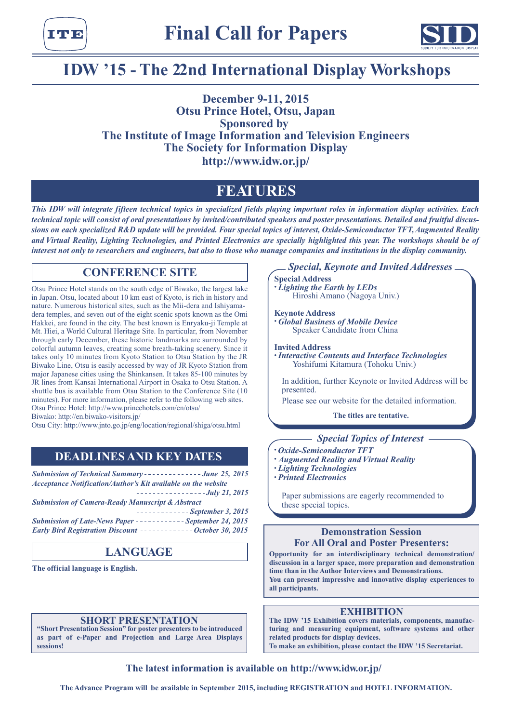



# **IDW '15 - The 22nd International Display Workshops**

# **December 9-11, 2015 Otsu Prince Hotel, Otsu, Japan Sponsored by The Institute of Image Information and Television Engineers The Society for Information Display http://www.idw.or.jp/**

# **FEATURES**

*This IDW will integrate fifteen technical topics in specialized fields playing important roles in information display activities. Each technical topic will consist of oral presentations by invited/contributed speakers and poster presentations. Detailed and fruitful discussions on each specialized R&D update will be provided. Four special topics of interest, Oxide-Semiconductor TFT, Augmented Reality and Virtual Reality, Lighting Technologies, and Printed Electronics are specially highlighted this year. The workshops should be of interest not only to researchers and engineers, but also to those who manage companies and institutions in the display community.*

## **CONFERENCE SITE**

Otsu Prince Hotel stands on the south edge of Biwako, the largest lake in Japan. Otsu, located about 10 km east of Kyoto, is rich in history and nature. Numerous historical sites, such as the Mii-dera and Ishiyamadera temples, and seven out of the eight scenic spots known as the Omi Hakkei, are found in the city. The best known is Enryaku-ji Temple at Mt. Hiei, a World Cultural Heritage Site. In particular, from November through early December, these historic landmarks are surrounded by colorful autumn leaves, creating some breath-taking scenery. Since it takes only 10 minutes from Kyoto Station to Otsu Station by the JR Biwako Line, Otsu is easily accessed by way of JR Kyoto Station from major Japanese cities using the Shinkansen. It takes 85-100 minutes by JR lines from Kansai International Airport in Osaka to Otsu Station. A shuttle bus is available from Otsu Station to the Conference Site (10 minutes). For more information, please refer to the following web sites. Otsu Prince Hotel: http://www.princehotels.com/en/otsu/ Biwako: http://en.biwako-visitors.jp/

Otsu City: http://www.jnto.go.jp/eng/location/regional/shiga/otsu.html

## **DEADLINES AND KEY DATES**

**Submission of Technical Summary - - - - - - - - - - - - - - June 25, 2015** *Acceptance Notification/Author's Kit available on the website*

*July 21, 2015 Submission of Camera-Ready Manuscript & Abstract*

|                                                                      |  | ------------- September 3, 2015 |  |
|----------------------------------------------------------------------|--|---------------------------------|--|
| <b>Submission of Late-News Paper ------------ September 24, 2015</b> |  |                                 |  |
| Early Bird Registration Discount --------------October 30, 2015      |  |                                 |  |

# **LANGUAGE**

**The official language is English.**

# **IDENT PRESENTATION**<br>
"Short Presentation Session" for poster presenters to

**"Short Presentation Session" for poster presenters to be introduced as part of e-Paper and Projection and Large Area Displays sessions!**

## *Special, Keynote and Invited Addresses*

#### **Special Address**

*• Lighting the Earth by LEDs* Hiroshi Amano (Nagoya Univ.)

#### **Keynote Address**

*• Global Business of Mobile Device*  Speaker Candidate from China

#### **Invited Address**

*• Interactive Contents and Interface Technologies* Yoshifumi Kitamura (Tohoku Univ.)

In addition, further Keynote or Invited Address will be presented.

Please see our website for the detailed information.

**The titles are tentative.**

## *Special Topics of Interest*

- *• Oxide-Semiconductor TFT*
- *• Augmented Reality and Virtual Reality*
- *• Lighting Technologies*
- *• Printed Electronics*

Paper submissions are eagerly recommended to these special topics.

## **Demonstration Session For All Oral and Poster Presenters:**

**Opportunity for an interdisciplinary technical demonstration/ discussion in a larger space, more preparation and demonstration time than in the Author Interviews and Demonstrations. You can present impressive and innovative display experiences to all participants.**

## **EXHIBITION**

**The IDW '15 Exhibition covers materials, components, manufacturing and measuring equipment, software systems and other related products for display devices. To make an exhibition, please contact the IDW '15 Secretariat.**

**The latest information is available on http://www.idw.or.jp/**

**The Advance Program will be available in September 2015, including REGISTRATION and HOTEL INFORMATION.**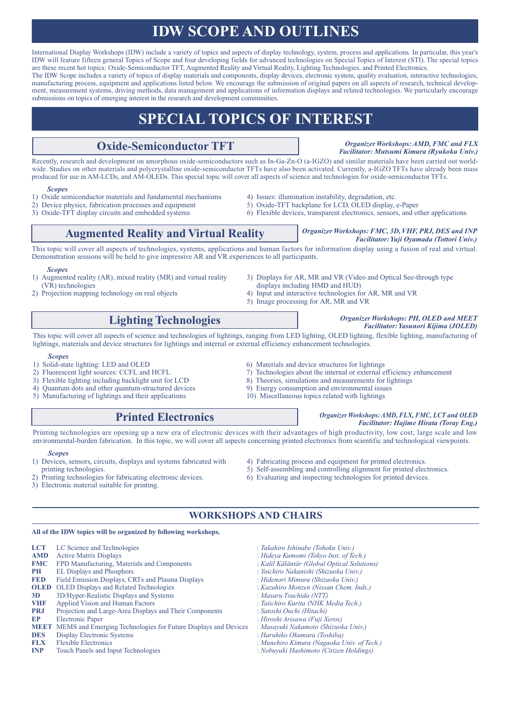# **IDW SCOPE AND OUTLINES**

International Display Workshops (IDW) include a variety of topics and aspects of display technology, system, process and applications. In particular, this year's IDW will feature fifteen general Topics of Scope and four developing fields for advanced technologies on Special Topics of Interest (STI). The special topics are these recent hot topics: Oxide-Semiconductor TFT, Augmented Reality and Virtual Reality, Lighting Technologies, and Printed Electronics. The IDW Scope includes a variety of topics of display materials and components, display devices, electronic system, quality evaluation, interactive technologies,

manufacturing process, equipment and applications listed below. We encourage the submission of original papers on all aspects of research, technical development, measurement systems, driving methods, data management and applications of information displays and related technologies. We particularly encourage submissions on topics of emerging interest in the research and development communities.

# **SPECIAL TOPICS OF INTEREST**

# **Oxide-Semiconductor TFT**

*Organizer Workshops: AMD, FMC and FLX Facilitator: Mutsumi Kimura (Ryukoku Univ.)*

*Facilitator: Yuji Oyamada (Tottori Univ.)*

*Organizer Workshops: PH, OLED and MEET Facilitator: Yasunori Kijima (JOLED)*

Recently, research and development on amorphous oxide-semiconductors such as In-Ga-Zn-O (a-IGZO) and similar materials have been carried out worldwide. Studies on other materials and polycrystalline oxide-semiconductor TFTs have also been activated. Currently, a-IGZO TFTs have already been mass produced for use in AM-LCDs, and AM-OLEDs. This special topic will cover all aspects of science and technologies for oxide-semiconductor TFTs.

#### *Scopes*

- 1) Oxide semiconductor materials and fundamental mechanisms (a) Issues: illumination instability, degradation, etc. 2) Device physics, fabrication processes and equipment (b) Oxide-TFT backplane for LCD, OLED display,
- 2) Device physics, fabrication processes and equipment 5) Oxide-TFT backplane for LCD, OLED display, e-Paper 3) Oxide-TFT display circuits and embedded systems 6) Flexible devices, transparent electronics, sensors, and o
- 
- 
- 
- 6) Flexible devices, transparent electronics, sensors, and other applications

# **Augmented Reality and Virtual Reality** *Organizer Workshops: FMC, 3D, VHF, PRJ, DES and INP*

This topic will cover all aspects of technologies, systems, applications and human factors for information display using a fusion of real and virtual. Demonstration sessions will be held to give impressive AR and VR experiences to all participants.

#### *Scopes*

- 1) Augmented reality (AR), mixed reality (MR) and virtual reality (VR) technologies
- 2) Projection mapping technology on real objects
- 3) Displays for AR, MR and VR (Video and Optical See-through type
- displays including HMD and HUD)
- 4) Input and interactive technologies for AR, MR and VR
- 5) Image processing for AR, MR and VR

# **Lighting Technologies**

This topic will cover all aspects of science and technologies of lightings, ranging from LED lighting, OLED lighting, flexible lighting, manufacturing of lightings, materials and device structures for lightings and internal or external efficiency enhancement technologies.

- *Scopes*<br>1) Solid-state lighting: LED and OLED
- 
- 
- 4) Quantum dots and other quantum-structured devices
- 
- 5) Manufacturing of lightings and their applications 10) Miscellaneous topics related with lightings

## **Printed Electronics**

- 
- - *Organizer Workshops: AMD, FLX, FMC, LCT and OLED*

Printing technologies are opening up a new era of electronic devices with their advantages of high productivity, low cost, large scale and low environmental-burden fabrication. In this topic, we will cover all aspects concerning printed electronics from scientific and technological viewpoints.

#### *Scopes*

- 1) Devices, sensors, circuits, displays and systems fabricated with printing technologies.
- Printing technologies for fabricating electronic devices.
- 3) Electronic material suitable for printing.
- 4) Fabricating process and equipment for printed electronics.
- 5) Self-assembling and controlling alignment for printed electronics.
- 6) Evaluating and inspecting technologies for printed devices.

## **WORKSHOPS AND CHAIRS**

#### **All of the IDW topics will be organized by following workshops.**

| LCT.       | LC Science and Technologies                                                | : Takahiro Ishinabe (Tohoku Univ.)          |  |  |
|------------|----------------------------------------------------------------------------|---------------------------------------------|--|--|
| <b>AMD</b> | <b>Active Matrix Displays</b>                                              | : Hideya Kumomi (Tokyo Inst. of Tech.)      |  |  |
| <b>FMC</b> | FPD Manufacturing, Materials and Components                                | : Kalil Käläntär (Global Optical Solutions) |  |  |
| <b>PH</b>  | <b>EL Displays and Phosphors</b>                                           | : Yoichiro Nakanishi (Shizuoka Univ.)       |  |  |
| <b>FED</b> | Field Emission Displays, CRTs and Plasma Displays                          | : Hidenori Mimura (Shizuoka Univ.)          |  |  |
|            | <b>OLED</b> OLED Displays and Related Technologies                         | : Kazuhiro Monzen (Nissan Chem. Inds.)      |  |  |
| 3D         | 3D/Hyper-Realistic Displays and Systems                                    | : Masaru Tsuchida (NTT)                     |  |  |
| <b>VHF</b> | Applied Vision and Human Factors                                           | : Taiichiro Kurita (NHK Media Tech.)        |  |  |
| <b>PRJ</b> | Projection and Large-Area Displays and Their Components                    | : Satoshi Ouchi (Hitachi)                   |  |  |
| EP         | <b>Electronic Paper</b>                                                    | : Hiroshi Arisawa (Fuji Xerox)              |  |  |
|            | <b>MEET</b> MEMS and Emerging Technologies for Future Displays and Devices | : Masayuki Nakamoto (Shizuoka Univ.)        |  |  |
| <b>DES</b> | Display Electronic Systems                                                 | : Haruhiko Okumura (Toshiba)                |  |  |
| <b>FLX</b> | <b>Flexible Electronics</b>                                                | : Munehiro Kimura (Nagaoka Univ. of Tech.)  |  |  |
| <b>INP</b> | Touch Panels and Input Technologies                                        | : Nobuyuki Hashimoto (Citizen Holdings)     |  |  |
|            |                                                                            |                                             |  |  |

- *Facilitator: Hajime Hirata (Toray Eng.)*
- 1) Solid-state lighting: LED and OLED 6) Materials and device structures for lightings<br>2) Fluorescent light sources: CCFL and HCFL 7) Technologies about the internal or external e
- 2) Fluorescent light sources: CCFL and HCFL 7) Technologies about the internal or external efficiency enhancement 3) Flexible lighting including backlight unit for LCD 8) Theories, simulations and measurements for lighting 8) Theories, simulations and measurements for lightings 9) Energy consumption and environmental issues
	-
	- -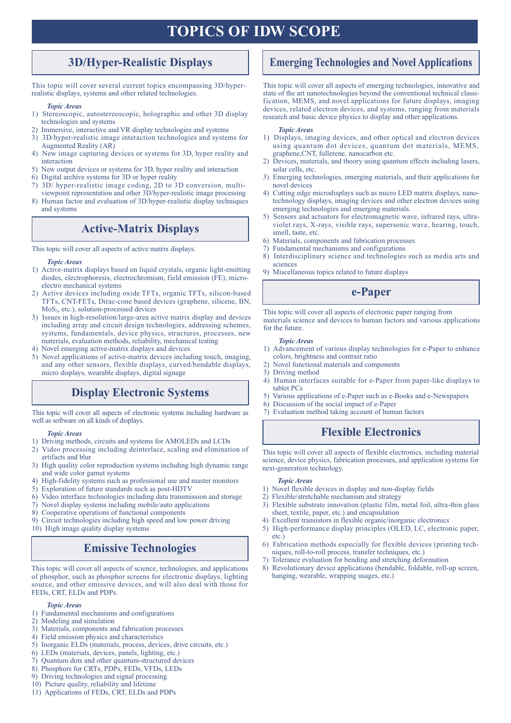# **TOPICS OF IDW SCOPE**

# **3D/Hyper-Realistic Displays**

This topic will cover several current topics encompassing 3D/hyperrealistic displays, systems and other related technologies.

#### *Topic Areas*

- 1) Stereoscopic, autostereoscopic, holographic and other 3D display technologies and systems
- 2) Immersive, interactive and VR display technologies and systems
- 3) 3D/hyper-realistic image interaction technologies and systems for Augmented Reality (AR)
- 4) New image capturing devices or systems for 3D, hyper reality and interaction
- 5) New output devices or systems for 3D, hyper reality and interaction
- 6) Digital archive systems for 3D or hyper reality
- 7) 3D/ hyper-realistic image coding, 2D to 3D conversion, multiviewpoint representation and other 3D/hyper-realistic image processing
- 8) Human factor and evaluation of 3D/hyper-realistic display techniques and systems

# **Active-Matrix Displays**

This topic will cover all aspects of active matrix displays.

#### *Topic Areas*

- 1) Active-matrix displays based on liquid crystals, organic light-emitting diodes, electrophoresis, electrochromism, field emission (FE), microelectro mechanical systems
- 2) Active devices including oxide TFTs, organic TFTs, silicon-based TFTs, CNT-FETs, Dirac-cone based devices (graphene, silicene, BN, MoS2, etc.), solution-processed devices
- 3) Issues in high-resolution/large-area active matrix display and devices including array and circuit design technologies, addressing schemes, systems, fundamentals, device physics, structures, processes, new materials, evaluation methods, reliability, mechanical testing
- 4) Novel emerging active-matrix displays and devices
- 5) Novel applications of active-matrix devices including touch, imaging, and any other sensors, flexible displays, curved/bendable displays, micro displays, wearable displays, digital signage

# **Display Electronic Systems**

This topic will cover all aspects of electronic systems including hardware as 7) Evaluation method taking account of human factors well as software on all kinds of displays.

#### *Topic Areas*

- 1) Driving methods, circuits and systems for AMOLEDs and LCDs
- 2) Video processing including deinterlace, scaling and elimination of artifacts and blur
- 3) High quality color reproduction systems including high dynamic range and wide color gamut systems
- 4) High-fidelity systems such as professional use and master monitors
- 5) Exploration of future standards such as post-HDTV
- 6) Video interface technologies including data transmission and storage
- 7) Novel display systems including mobile/auto applications
- 8) Cooperative operations of functional components
- 9) Circuit technologies including high speed and low power driving

## 10) High image quality display systems

# **Emissive Technologies**

This topic will cover all aspects of science, technologies, and applications of phosphor, such as phosphor screens for electronic displays, lighting source, and other emissive devices, and will also deal with those for FEDs, CRT, ELDs and PDPs.

#### *Topic Areas*

- 1) Fundamental mechanisms and configurations
- 2) Modeling and simulation
- 3) Materials, components and fabrication processes
- 4) Field emission physics and characteristics
- 5) Inorganic ELDs (materials, process, devices, drive circuits, etc.)
- 6) LEDs (materials, devices, panels, lighting, etc.)
- 7) Quantum dots and other quantum-structured devices
- 8) Phosphors for CRTs, PDPs, FEDs, VFDs, LEDs
- 9) Driving technologies and signal processing
- 10) Picture quality, reliability and lifetime
- 11) Applications of FEDs, CRT, ELDs and PDPs

# **Emerging Technologies and Novel Applications**

This topic will cover all aspects of emerging technologies, innovative and state of the art nanotechnologies beyond the conventional technical classification, MEMS, and novel applications for future displays, imaging devices, related electron devices, and systems, ranging from materials research and basic device physics to display and other applications.

#### *Topic Areas*

- 1) Displays, imaging devices, and other optical and electron devices using quantum dot devices, quantum dot materials, MEMS, graphene,CNT, fullerene, nanocarbon etc.
- 2) Devices, materials, and theory using quantum effects including lasers, solar cells, etc.
- 3) Emerging technologies, emerging materials, and their applications for novel devices
- 4) Cutting edge microdisplays such as micro LED matrix displays, nanotechnology displays, imaging devices and other electron devices using emerging technologies and emerging materials.
- 5) Sensors and actuators for electromagnetic wave, infrared rays, ultraviolet rays, X-rays, visible rays, supersonic wave, hearing, touch, smell, taste, etc.
- 6) Materials, components and fabrication processes
- 7) Fundamental mechanisms and configurations
- 8) Interdisciplinary science and technologies such as media arts and sciences
- 9) Miscellaneous topics related to future displays

# **e-Paper**

This topic will cover all aspects of electronic paper ranging from materials science and devices to human factors and various applications for the future.

#### *Topic Areas*

- 1) Advancement of various display technologies for e-Paper to enhance colors, brightness and contrast ratio
- 2) Novel functional materials and components
- 3) Driving method
- 4) Human interfaces suitable for e-Paper from paper-like displays to tablet PCs
- 5) Various applications of e-Paper such as e-Books and e-Newspapers
- 6) Discussion of the social impact of e-Paper
- 

# **Flexible Electronics**

This topic will cover all aspects of flexible electronics, including material science, device physics, fabrication processes, and application systems for next-generation technology.

#### *Topic Areas*

- 1) Novel flexible devices in display and non-display fields
- 2) Flexible/stretchable mechanism and strategy
- 3) Flexible substrate innovation (plastic film, metal foil, ultra-thin glass sheet, textile, paper, etc.) and encapsulation
- Excellent transistors in flexible organic/inorganic electronics
- 5) High-performance display principles (OLED, LC, electronic paper, etc.)
- 6) Fabrication methods especially for flexible devices (printing techniques, roll-to-roll process, transfer techniques, etc.)
- 7) Tolerance evaluation for bending and stretching deformation
- 8) Revolutionary device applications (bendable, foldable, roll-up screen, hanging, wearable, wrapping usages, etc.)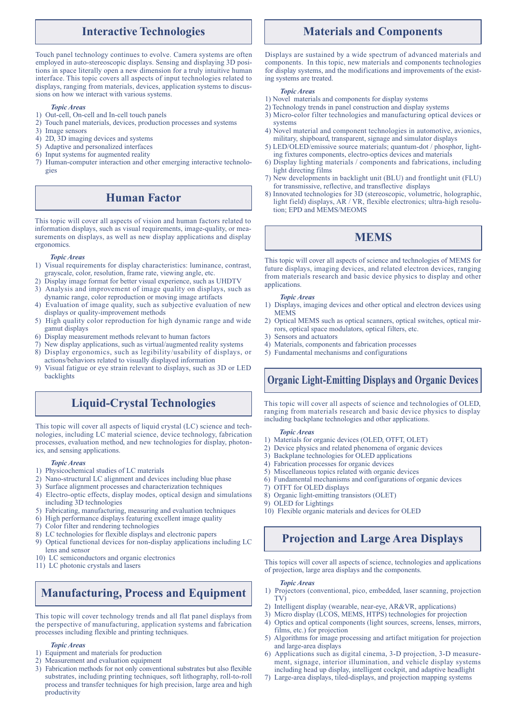## **Interactive Technologies**

Touch panel technology continues to evolve. Camera systems are often employed in auto-stereoscopic displays. Sensing and displaying 3D positions in space literally open a new dimension for a truly intuitive human interface. This topic covers all aspects of input technologies related to displays, ranging from materials, devices, application systems to discussions on how we interact with various systems.

#### *Topic Areas*

- 1) Out-cell, On-cell and In-cell touch panels
- 2) Touch panel materials, devices, production processes and systems
- 3) Image sensors
- 4) 2D, 3D imaging devices and systems
- 5) Adaptive and personalized interfaces
- 6) Input systems for augmented reality
- 7) Human-computer interaction and other emerging interactive technologies

## **Human Factor**

This topic will cover all aspects of vision and human factors related to information displays, such as visual requirements, image-quality, or measurements on displays, as well as new display applications and display ergonomics.

#### *Topic Areas*

- 1) Visual requirements for display characteristics: luminance, contrast, grayscale, color, resolution, frame rate, viewing angle, etc.
- 2) Display image format for better visual experience, such as UHDTV
- 3) Analysis and improvement of image quality on displays, such as dynamic range, color reproduction or moving image artifacts
- 4) Evaluation of image quality, such as subjective evaluation of new displays or quality-improvement methods
- 5) High quality color reproduction for high dynamic range and wide gamut displays
- 6) Display measurement methods relevant to human factors
- 7) New display applications, such as virtual/augmented reality systems 8) Display ergonomics, such as legibility/usability of displays, or
- actions/behaviors related to visually displayed information
- 9) Visual fatigue or eye strain relevant to displays, such as 3D or LED backlights

# **Liquid-Crystal Technologies**

This topic will cover all aspects of liquid crystal (LC) science and technologies, including LC material science, device technology, fabrication processes, evaluation method, and new technologies for display, photonics, and sensing applications.

#### *Topic Areas*

- 1) Physicochemical studies of LC materials
- 2) Nano-structural LC alignment and devices including blue phase
- 3) Surface alignment processes and characterization techniques
- 4) Electro-optic effects, display modes, optical design and simulations including 3D technologies
- 5) Fabricating, manufacturing, measuring and evaluation techniques
- 6) High performance displays featuring excellent image quality
- 7) Color filter and rendering technologies
- 8) LC technologies for flexible displays and electronic papers
- 9) Optical functional devices for non-display applications including LC lens and sensor
- 10) LC semiconductors and organic electronics
- 11) LC photonic crystals and lasers

# **Manufacturing, Process and Equipment**

This topic will cover technology trends and all flat panel displays from the perspective of manufacturing, application systems and fabrication processes including flexible and printing techniques.

#### *Topic Areas*

- 1) Equipment and materials for production
- 2) Measurement and evaluation equipment
- 3) Fabrication methods for not only conventional substrates but also flexible substrates, including printing techniques, soft lithography, roll-to-roll process and transfer techniques for high precision, large area and high productivity

# **Materials and Components**

Displays are sustained by a wide spectrum of advanced materials and components. In this topic, new materials and components technologies for display systems, and the modifications and improvements of the existing systems are treated.

#### *Topic Areas*

- 1) Novel materials and components for display systems
- 2) Technology trends in panel construction and display systems
- 3) Micro-color filter technologies and manufacturing optical devices or systems
- 4) Novel material and component technologies in automotive, avionics, military, shipboard, transparent, signage and simulator displays
- 5) LED/OLED/emissive source materials; quantum-dot / phosphor, lighting fixtures components, electro-optics devices and materials
- 6) Display lighting materials / components and fabrications, including light directing films
- 7) New developments in backlight unit (BLU) and frontlight unit (FLU) for transmissive, reflective, and transflective displays
- 8) Innovated technologies for 3D (stereoscopic, volumetric, holographic, light field) displays, AR / VR, flexible electronics; ultra-high resolution; EPD and MEMS/MEOMS

# **MEMS**

This topic will cover all aspects of science and technologies of MEMS for future displays, imaging devices, and related electron devices, ranging from materials research and basic device physics to display and other applications.

#### *Topic Areas*

- 1) Displays, imaging devices and other optical and electron devices using MEMS
- 2) Optical MEMS such as optical scanners, optical switches, optical mirrors, optical space modulators, optical filters, etc.
- 3) Sensors and actuators
- 4) Materials, components and fabrication processes
- 5) Fundamental mechanisms and configurations

# **Organic Light-Emitting Displays and Organic Devices**

This topic will cover all aspects of science and technologies of OLED, ranging from materials research and basic device physics to display including backplane technologies and other applications.

#### *Topic Areas*

- 1) Materials for organic devices (OLED, OTFT, OLET)
- 2) Device physics and related phenomena of organic devices
- 3) Backplane technologies for OLED applications
- 4) Fabrication processes for organic devices
- 5) Miscellaneous topics related with organic devices
- 6) Fundamental mechanisms and configurations of organic devices
- 7) OTFT for OLED displays
- 8) Organic light-emitting transistors (OLET)
- 9) OLED for Lightings
- 10) Flexible organic materials and devices for OLED

# **Projection and Large Area Displays**

This topics will cover all aspects of science, technologies and applications of projection, large area displays and the components.

#### *Topic Areas*

- 1) Projectors (conventional, pico, embedded, laser scanning, projection TV)
- 2) Intelligent display (wearable, near-eye, AR&VR, applications)
- 3) Micro display (LCOS, MEMS, HTPS) technologies for projection
- 4) Optics and optical components (light sources, screens, lenses, mirrors, films, etc.) for projection
- 5) Algorithms for image processing and artifact mitigation for projection and large-area displays
- 6) Applications such as digital cinema, 3-D projection, 3-D measurement, signage, interior illumination, and vehicle display systems including head up display, intelligent cockpit, and adaptive headlight
- 7) Large-area displays, tiled-displays, and projection mapping systems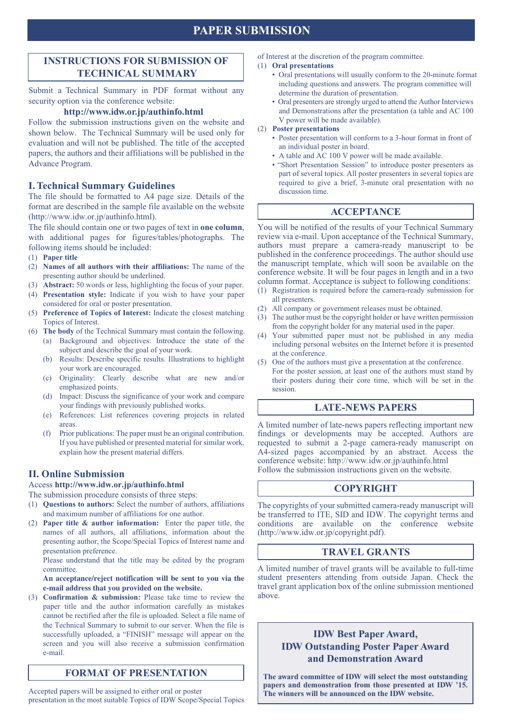# **PAPER SUBMISSION**

## **INSTRUCTIONS FOR SUBMISSION OF TECHNICAL SUMMARY**

Submit a Technical Summary in PDF format without any security option via the conference website:

## **http://www.idw.or.jp/authinfo.html**

Follow the submission instructions given on the website and shown below. The Technical Summary will be used only for evaluation and will not be published. The title of the accepted papers, the authors and their affiliations will be published in the Advance Program.

## **I. Technical Summary Guidelines**

The file should be formatted to A4 page size. Details of the format are described in the sample file available on the website (http://www.idw.or.jp/authinfo.html).

The file should contain one or two pages of text in **one column**, with additional pages for figures/tables/photographs. The following items should be included:

- (1) **Paper title**
- (2) **Names of all authors with their affiliations:** The name of the presenting author should be underlined.
- (3) **Abstract:** 50 words or less, highlighting the focus of your paper.
- (4) **Presentation style:** Indicate if you wish to have your paper considered for oral or poster presentation.
- (5) **Preference of Topics of Interest:** Indicate the closest matching Topics of Interest.
- (6) **The body** of the Technical Summary must contain the following. (a) Background and objectives: Introduce the state of the subject and describe the goal of your work.
	- (b) Results: Describe specific results. Illustrations to highlight your work are encouraged.
	- (c) Originality: Clearly describe what are new and/or emphasized points.
	- (d) Impact: Discuss the significance of your work and compare your findings with previously published works.
	- (e) References: List references covering projects in related areas.
	- (f) Prior publications: The paper must be an original contribution. If you have published or presented material for similar work, explain how the present material differs.

## **II. Online Submission**

Access **http://www.idw.or.jp/authinfo.html**

The submission procedure consists of three steps:

- (1) **Questions to authors:** Select the number of authors, affiliations and maximum number of affiliations for one author.
- (2) **Paper title & author information:** Enter the paper title, the names of all authors, all affiliations, information about the presenting author, the Scope/Special Topics of Interest name and presentation preference.

 Please understand that the title may be edited by the program committee.

#### **An acceptance/reject notification will be sent to you via the e-mail address that you provided on the website.**

(3) **Confirmation & submission:** Please take time to review the paper title and the author information carefully as mistakes cannot be rectified after the file is uploaded. Select a file name of the Technical Summary to submit to our server. When the file is successfully uploaded, a "FINISH" message will appear on the screen and you will also receive a submission confirmation e-mail.

## **FORMAT OF PRESENTATION**

Accepted papers will be assigned to either oral or poster presentation in the most suitable Topics of IDW Scope/Special Topics of Interest at the discretion of the program committee.

#### (1) **Oral presentations**

- Oral presentations will usually conform to the 20-minute format including questions and answers. The program committee will determine the duration of presentation.
- Oral presenters are strongly urged to attend the Author Interviews and Demonstrations after the presentation (a table and AC 100 V power will be made available).
- (2) **Poster presentations**
	- Poster presentation will conform to a 3-hour format in front of an individual poster in board.
	- A table and AC 100 V power will be made available.
	- "Short Presentation Session" to introduce poster presenters as part of several topics. All poster presenters in several topics are required to give a brief, 3-minute oral presentation with no discussion time.

## **ACCEPTANCE**

You will be notified of the results of your Technical Summary review via e-mail. Upon acceptance of the Technical Summary, authors must prepare a camera-ready manuscript to be published in the conference proceedings. The author should use the manuscript template, which will soon be available on the conference website. It will be four pages in length and in a two column format. Acceptance is subject to following conditions:

- (1) Registration is required before the camera-ready submission for all presenters.
- (2) All company or government releases must be obtained.
- (3) The author must be the copyright holder or have written permission from the copyright holder for any material used in the paper.
- (4) Your submitted paper must not be published in any media including personal websites on the Internet before it is presented at the conference.
- (5) One of the authors must give a presentation at the conference. For the poster session, at least one of the authors must stand by their posters during their core time, which will be set in the session.

## **LATE-NEWS PAPERS**

A limited number of late-news papers reflecting important new findings or developments may be accepted. Authors are requested to submit a 2-page camera-ready manuscript on A4-sized pages accompanied by an abstract. Access the conference website: http://www.idw.or.jp/authinfo.html Follow the submission instructions given on the website.

## **COPYRIGHT**

The copyrights of your submitted camera-ready manuscript will be transferred to ITE, SID and IDW. The copyright terms and conditions are available on the conference website (http://www.idw.or.jp/copyright.pdf).

## **TRAVEL GRANTS**

A limited number of travel grants will be available to full-time student presenters attending from outside Japan. Check the travel grant application box of the online submission mentioned above.

# **IDW Best Paper Award, IDW Outstanding Poster Paper Award and Demonstration Award**

**The award committee of IDW will select the most outstanding papers and demonstration from those presented at IDW '15. The winners will be announced on the IDW website.**